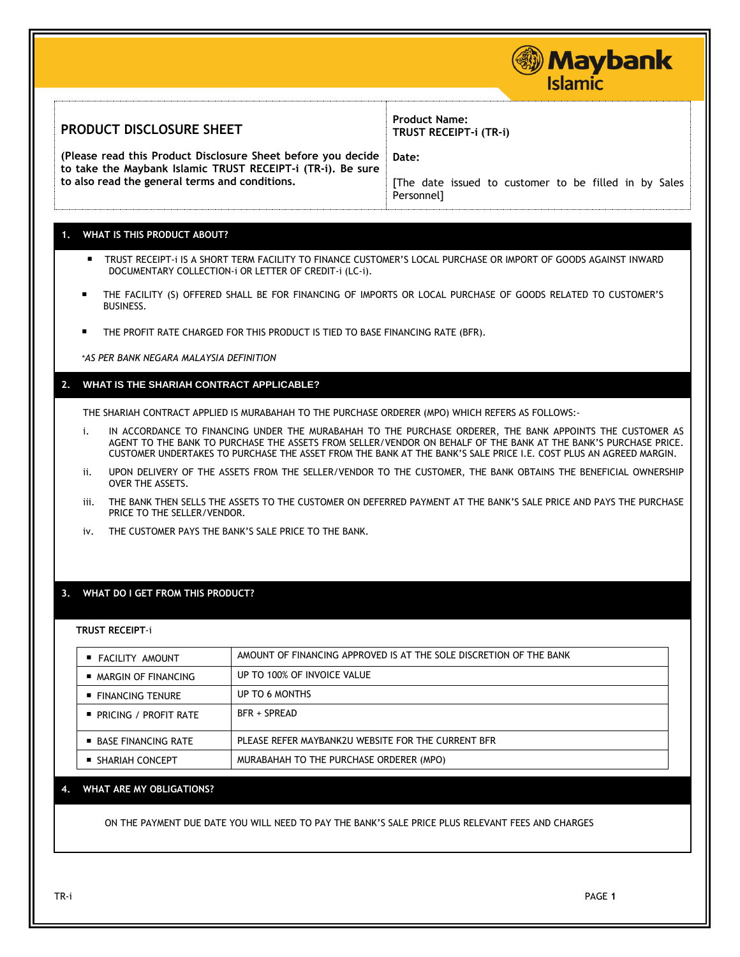|      |                                                                                                   |                                                                                                                   | <b>Maybank</b><br><b>Islamic</b>                                                                                                                                                                                                                                                                                                                  |  |
|------|---------------------------------------------------------------------------------------------------|-------------------------------------------------------------------------------------------------------------------|---------------------------------------------------------------------------------------------------------------------------------------------------------------------------------------------------------------------------------------------------------------------------------------------------------------------------------------------------|--|
|      | PRODUCT DISCLOSURE SHEET                                                                          |                                                                                                                   | <b>Product Name:</b><br>TRUST RECEIPT-i (TR-i)                                                                                                                                                                                                                                                                                                    |  |
|      |                                                                                                   | (Please read this Product Disclosure Sheet before you decide                                                      | Date:                                                                                                                                                                                                                                                                                                                                             |  |
|      | to also read the general terms and conditions.                                                    | to take the Maybank Islamic TRUST RECEIPT-i (TR-i). Be sure                                                       | The date issued to customer to be filled in by Sales<br>Personnel]                                                                                                                                                                                                                                                                                |  |
|      | <b>WHAT IS THIS PRODUCT ABOUT?</b>                                                                |                                                                                                                   |                                                                                                                                                                                                                                                                                                                                                   |  |
|      |                                                                                                   | DOCUMENTARY COLLECTION-i OR LETTER OF CREDIT-i (LC-i).                                                            | ■ TRUST RECEIPT-i IS A SHORT TERM FACILITY TO FINANCE CUSTOMER'S LOCAL PURCHASE OR IMPORT OF GOODS AGAINST INWARD                                                                                                                                                                                                                                 |  |
|      | <b>BUSINESS.</b>                                                                                  |                                                                                                                   | THE FACILITY (S) OFFERED SHALL BE FOR FINANCING OF IMPORTS OR LOCAL PURCHASE OF GOODS RELATED TO CUSTOMER'S                                                                                                                                                                                                                                       |  |
|      |                                                                                                   | THE PROFIT RATE CHARGED FOR THIS PRODUCT IS TIED TO BASE FINANCING RATE (BFR).                                    |                                                                                                                                                                                                                                                                                                                                                   |  |
|      | *AS PER BANK NEGARA MALAYSIA DEFINITION                                                           |                                                                                                                   |                                                                                                                                                                                                                                                                                                                                                   |  |
| $2-$ | WHAT IS THE SHARIAH CONTRACT APPLICABLE?                                                          |                                                                                                                   |                                                                                                                                                                                                                                                                                                                                                   |  |
|      |                                                                                                   |                                                                                                                   |                                                                                                                                                                                                                                                                                                                                                   |  |
|      | THE SHARIAH CONTRACT APPLIED IS MURABAHAH TO THE PURCHASE ORDERER (MPO) WHICH REFERS AS FOLLOWS:- |                                                                                                                   |                                                                                                                                                                                                                                                                                                                                                   |  |
| i.   |                                                                                                   |                                                                                                                   | IN ACCORDANCE TO FINANCING UNDER THE MURABAHAH TO THE PURCHASE ORDERER, THE BANK APPOINTS THE CUSTOMER AS<br>AGENT TO THE BANK TO PURCHASE THE ASSETS FROM SELLER/VENDOR ON BEHALF OF THE BANK AT THE BANK'S PURCHASE PRICE.<br>CUSTOMER UNDERTAKES TO PURCHASE THE ASSET FROM THE BANK AT THE BANK'S SALE PRICE I.E. COST PLUS AN AGREED MARGIN. |  |
| ij.  | <b>OVER THE ASSETS.</b>                                                                           | UPON DELIVERY OF THE ASSETS FROM THE SELLER/VENDOR TO THE CUSTOMER, THE BANK OBTAINS THE BENEFICIAL OWNERSHIP     |                                                                                                                                                                                                                                                                                                                                                   |  |
|      |                                                                                                   | THE BANK THEN SELLS THE ASSETS TO THE CUSTOMER ON DEFERRED PAYMENT AT THE BANK'S SALE PRICE AND PAYS THE PURCHASE |                                                                                                                                                                                                                                                                                                                                                   |  |
| iii. | PRICE TO THE SELLER/VENDOR.                                                                       |                                                                                                                   |                                                                                                                                                                                                                                                                                                                                                   |  |
| iv.  |                                                                                                   | THE CUSTOMER PAYS THE BANK'S SALE PRICE TO THE BANK.                                                              |                                                                                                                                                                                                                                                                                                                                                   |  |
|      | WHAT DO I GET FROM THIS PRODUCT?<br><b>TRUST RECEIPT-i</b>                                        |                                                                                                                   |                                                                                                                                                                                                                                                                                                                                                   |  |
|      |                                                                                                   |                                                                                                                   | AMOUNT OF FINANCING APPROVED IS AT THE SOLE DISCRETION OF THE BANK                                                                                                                                                                                                                                                                                |  |
| 3.   | ■ FACILITY AMOUNT<br>■ MARGIN OF FINANCING                                                        | UP TO 100% OF INVOICE VALUE                                                                                       |                                                                                                                                                                                                                                                                                                                                                   |  |
|      | ■ FINANCING TENURE                                                                                | UP TO 6 MONTHS                                                                                                    |                                                                                                                                                                                                                                                                                                                                                   |  |
|      | ■ PRICING / PROFIT RATE                                                                           | <b>BFR + SPREAD</b>                                                                                               |                                                                                                                                                                                                                                                                                                                                                   |  |
|      | ■ BASE FINANCING RATE                                                                             | PLEASE REFER MAYBANK2U WEBSITE FOR THE CURRENT BFR                                                                |                                                                                                                                                                                                                                                                                                                                                   |  |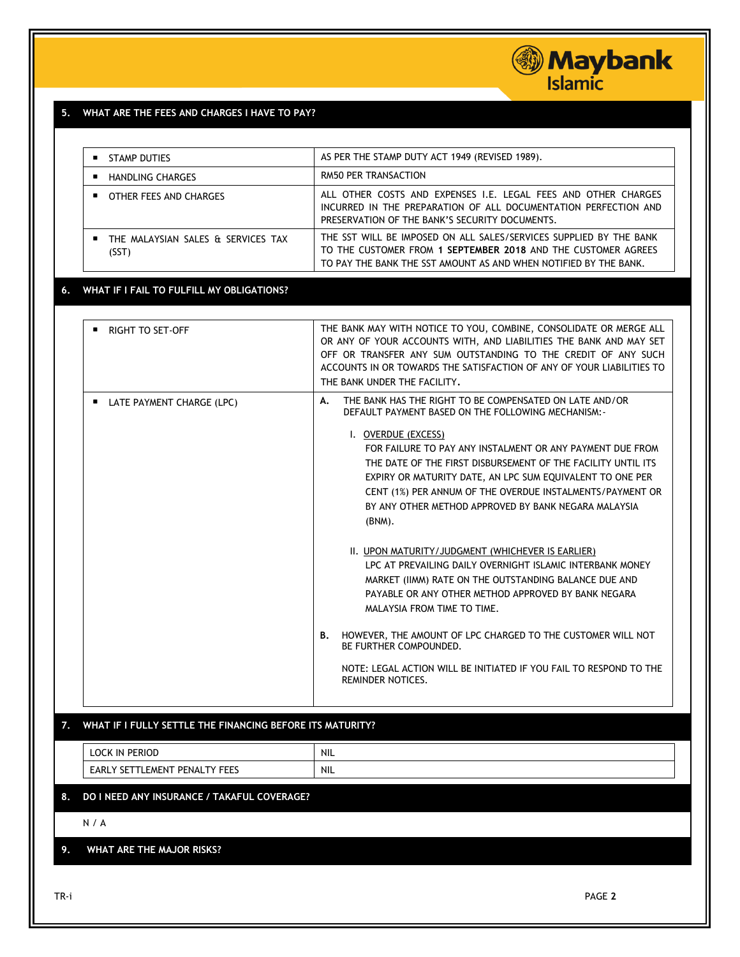# *Maybank*<br>Islamic

# **5. WHAT ARE THE FEES AND CHARGES I HAVE TO PAY?**

| <b>STAMP DUTIES</b>                                    | AS PER THE STAMP DUTY ACT 1949 (REVISED 1989).                                                                                                                                                                                                                                                                                                                                                                                                                     |
|--------------------------------------------------------|--------------------------------------------------------------------------------------------------------------------------------------------------------------------------------------------------------------------------------------------------------------------------------------------------------------------------------------------------------------------------------------------------------------------------------------------------------------------|
| <b>HANDLING CHARGES</b>                                | <b>RM50 PER TRANSACTION</b>                                                                                                                                                                                                                                                                                                                                                                                                                                        |
| OTHER FEES AND CHARGES                                 | ALL OTHER COSTS AND EXPENSES I.E. LEGAL FEES AND OTHER CHARGES<br>INCURRED IN THE PREPARATION OF ALL DOCUMENTATION PERFECTION AND<br>PRESERVATION OF THE BANK'S SECURITY DOCUMENTS.                                                                                                                                                                                                                                                                                |
| <b>THE MALAYSIAN SALES &amp; SERVICES TAX</b><br>(SST) | THE SST WILL BE IMPOSED ON ALL SALES/SERVICES SUPPLIED BY THE BANK<br>TO THE CUSTOMER FROM 1 SEPTEMBER 2018 AND THE CUSTOMER AGREES<br>TO PAY THE BANK THE SST AMOUNT AS AND WHEN NOTIFIED BY THE BANK.                                                                                                                                                                                                                                                            |
| WHAT IF I FAIL TO FULFILL MY OBLIGATIONS?              |                                                                                                                                                                                                                                                                                                                                                                                                                                                                    |
|                                                        |                                                                                                                                                                                                                                                                                                                                                                                                                                                                    |
| RIGHT TO SET-OFF                                       | THE BANK MAY WITH NOTICE TO YOU, COMBINE, CONSOLIDATE OR MERGE ALL<br>OR ANY OF YOUR ACCOUNTS WITH, AND LIABILITIES THE BANK AND MAY SET<br>OFF OR TRANSFER ANY SUM OUTSTANDING TO THE CREDIT OF ANY SUCH<br>ACCOUNTS IN OR TOWARDS THE SATISFACTION OF ANY OF YOUR LIABILITIES TO                                                                                                                                                                                 |
|                                                        | THE BANK UNDER THE FACILITY.                                                                                                                                                                                                                                                                                                                                                                                                                                       |
| <b>LATE PAYMENT CHARGE (LPC)</b>                       | THE BANK HAS THE RIGHT TO BE COMPENSATED ON LATE AND/OR<br>А.<br>DEFAULT PAYMENT BASED ON THE FOLLOWING MECHANISM:<br>I. OVERDUE (EXCESS)<br>FOR FAILURE TO PAY ANY INSTALMENT OR ANY PAYMENT DUE FROM<br>THE DATE OF THE FIRST DISBURSEMENT OF THE FACILITY UNTIL ITS<br>EXPIRY OR MATURITY DATE, AN LPC SUM EQUIVALENT TO ONE PER<br>CENT (1%) PER ANNUM OF THE OVERDUE INSTALMENTS/PAYMENT OR<br>BY ANY OTHER METHOD APPROVED BY BANK NEGARA MALAYSIA<br>(BNM). |
|                                                        | II. UPON MATURITY/JUDGMENT (WHICHEVER IS EARLIER)<br>LPC AT PREVAILING DAILY OVERNIGHT ISLAMIC INTERBANK MONEY<br>MARKET (IIMM) RATE ON THE OUTSTANDING BALANCE DUE AND<br>PAYABLE OR ANY OTHER METHOD APPROVED BY BANK NEGARA<br>MALAYSIA FROM TIME TO TIME.                                                                                                                                                                                                      |
|                                                        | <b>B. HOWEVER, THE AMOUNT OF LPC CHARGED TO THE CUSTOMER WILL NOT</b><br>BE FURTHER COMPOUNDED.                                                                                                                                                                                                                                                                                                                                                                    |
|                                                        |                                                                                                                                                                                                                                                                                                                                                                                                                                                                    |

### **7. WHAT IF I FULLY SETTLE THE FINANCING BEFORE ITS MATURITY?**

| <b>PERIOD</b><br>nr<br>IN                                            | <b>NIL</b><br>the contract of the contract of |
|----------------------------------------------------------------------|-----------------------------------------------|
| ----<br>.∟EMEN⊤<br>" PENAL .<br>᠇.<br><b>LARL</b><br>.<br>5E.<br>د∟∟ | <b>NIL</b>                                    |

## **8. DO I NEED ANY INSURANCE / TAKAFUL COVERAGE?**

N / A

### **9. WHAT ARE THE MAJOR RISKS?**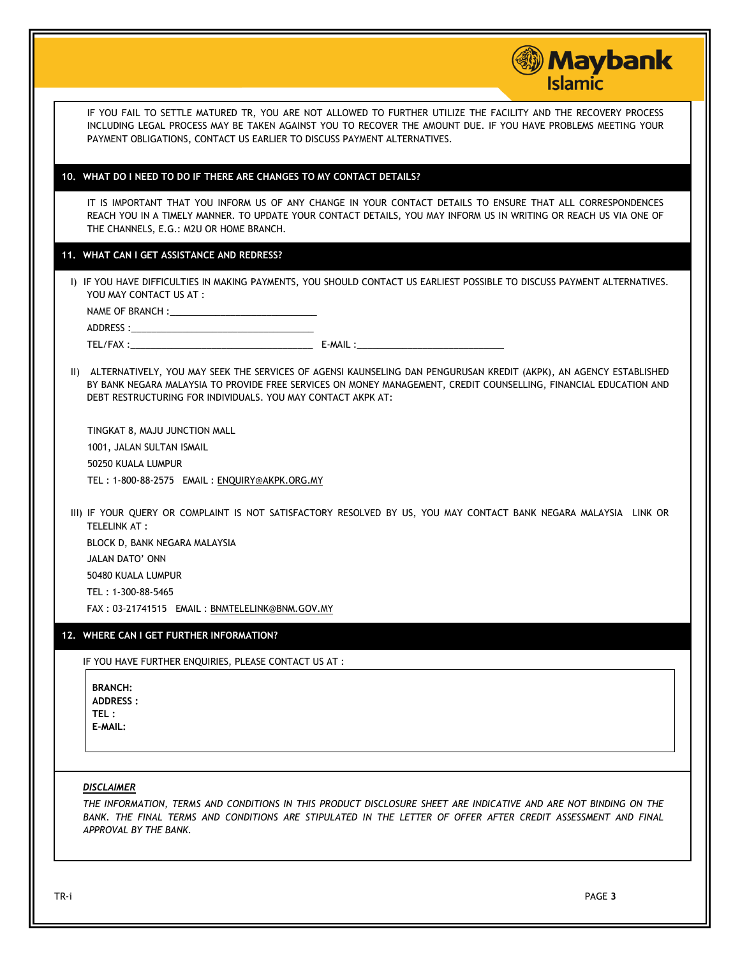|                                                                          | <b>Maybank</b><br><b>Islamic</b>                                                                                                                                                                                                           |
|--------------------------------------------------------------------------|--------------------------------------------------------------------------------------------------------------------------------------------------------------------------------------------------------------------------------------------|
| PAYMENT OBLIGATIONS, CONTACT US EARLIER TO DISCUSS PAYMENT ALTERNATIVES. | IF YOU FAIL TO SETTLE MATURED TR, YOU ARE NOT ALLOWED TO FURTHER UTILIZE THE FACILITY AND THE RECOVERY PROCESS<br>INCLUDING LEGAL PROCESS MAY BE TAKEN AGAINST YOU TO RECOVER THE AMOUNT DUE. IF YOU HAVE PROBLEMS MEETING YOUR            |
| 10. WHAT DO I NEED TO DO IF THERE ARE CHANGES TO MY CONTACT DETAILS?     |                                                                                                                                                                                                                                            |
| THE CHANNELS, E.G.: M2U OR HOME BRANCH.                                  | IT IS IMPORTANT THAT YOU INFORM US OF ANY CHANGE IN YOUR CONTACT DETAILS TO ENSURE THAT ALL CORRESPONDENCES<br>REACH YOU IN A TIMELY MANNER. TO UPDATE YOUR CONTACT DETAILS, YOU MAY INFORM US IN WRITING OR REACH US VIA ONE OF           |
| 11. WHAT CAN I GET ASSISTANCE AND REDRESS?                               |                                                                                                                                                                                                                                            |
| YOU MAY CONTACT US AT :                                                  | I) IF YOU HAVE DIFFICULTIES IN MAKING PAYMENTS, YOU SHOULD CONTACT US EARLIEST POSSIBLE TO DISCUSS PAYMENT ALTERNATIVES.                                                                                                                   |
|                                                                          |                                                                                                                                                                                                                                            |
|                                                                          |                                                                                                                                                                                                                                            |
|                                                                          |                                                                                                                                                                                                                                            |
| DEBT RESTRUCTURING FOR INDIVIDUALS. YOU MAY CONTACT AKPK AT:             | II) ALTERNATIVELY, YOU MAY SEEK THE SERVICES OF AGENSI KAUNSELING DAN PENGURUSAN KREDIT (AKPK), AN AGENCY ESTABLISHED<br>BY BANK NEGARA MALAYSIA TO PROVIDE FREE SERVICES ON MONEY MANAGEMENT, CREDIT COUNSELLING, FINANCIAL EDUCATION AND |
| TINGKAT 8, MAJU JUNCTION MALL                                            |                                                                                                                                                                                                                                            |
| 1001, JALAN SULTAN ISMAIL                                                |                                                                                                                                                                                                                                            |
| 50250 KUALA LUMPUR                                                       |                                                                                                                                                                                                                                            |
| TEL: 1-800-88-2575 EMAIL: ENQUIRY@AKPK.ORG.MY                            |                                                                                                                                                                                                                                            |
| TELELINK AT:                                                             | III) IF YOUR QUERY OR COMPLAINT IS NOT SATISFACTORY RESOLVED BY US, YOU MAY CONTACT BANK NEGARA MALAYSIA LINK OR                                                                                                                           |
| BLOCK D, BANK NEGARA MALAYSIA                                            |                                                                                                                                                                                                                                            |
| JALAN DATO' ONN                                                          |                                                                                                                                                                                                                                            |
| 50480 KUALA LUMPUR                                                       |                                                                                                                                                                                                                                            |
| TEL: 1-300-88-5465                                                       |                                                                                                                                                                                                                                            |
| FAX: 03-21741515 EMAIL: BNMTELELINK@BNM.GOV.MY                           |                                                                                                                                                                                                                                            |
| 12. WHERE CAN I GET FURTHER INFORMATION?                                 |                                                                                                                                                                                                                                            |
| IF YOU HAVE FURTHER ENQUIRIES, PLEASE CONTACT US AT :                    |                                                                                                                                                                                                                                            |
| <b>BRANCH:</b><br><b>ADDRESS:</b><br>TEL:<br>E-MAIL:                     |                                                                                                                                                                                                                                            |
|                                                                          |                                                                                                                                                                                                                                            |
| <b>DISCLAIMER</b><br>APPROVAL BY THE BANK.                               | THE INFORMATION, TERMS AND CONDITIONS IN THIS PRODUCT DISCLOSURE SHEET ARE INDICATIVE AND ARE NOT BINDING ON THE<br>BANK. THE FINAL TERMS AND CONDITIONS ARE STIPULATED IN THE LETTER OF OFFER AFTER CREDIT ASSESSMENT AND FINAL           |
|                                                                          |                                                                                                                                                                                                                                            |
| TR-i                                                                     | PAGE 3                                                                                                                                                                                                                                     |